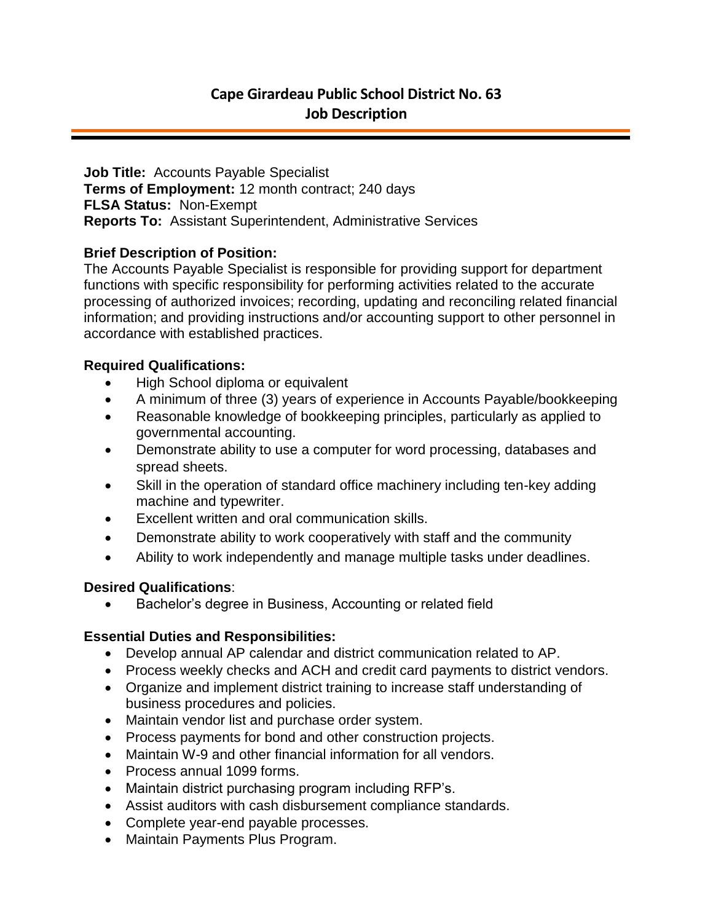**Job Title:** Accounts Payable Specialist **Terms of Employment:** 12 month contract; 240 days **FLSA Status:** Non-Exempt **Reports To:** Assistant Superintendent, Administrative Services

# **Brief Description of Position:**

The Accounts Payable Specialist is responsible for providing support for department functions with specific responsibility for performing activities related to the accurate processing of authorized invoices; recording, updating and reconciling related financial information; and providing instructions and/or accounting support to other personnel in accordance with established practices.

# **Required Qualifications:**

- High School diploma or equivalent
- A minimum of three (3) years of experience in Accounts Payable/bookkeeping
- Reasonable knowledge of bookkeeping principles, particularly as applied to governmental accounting.
- Demonstrate ability to use a computer for word processing, databases and spread sheets.
- Skill in the operation of standard office machinery including ten-key adding machine and typewriter.
- Excellent written and oral communication skills.
- Demonstrate ability to work cooperatively with staff and the community
- Ability to work independently and manage multiple tasks under deadlines.

### **Desired Qualifications**:

Bachelor's degree in Business, Accounting or related field

### **Essential Duties and Responsibilities:**

- Develop annual AP calendar and district communication related to AP.
- Process weekly checks and ACH and credit card payments to district vendors.
- Organize and implement district training to increase staff understanding of business procedures and policies.
- Maintain vendor list and purchase order system.
- Process payments for bond and other construction projects.
- Maintain W-9 and other financial information for all vendors.
- Process annual 1099 forms.
- Maintain district purchasing program including RFP's.
- Assist auditors with cash disbursement compliance standards.
- Complete year-end payable processes.
- Maintain Payments Plus Program.